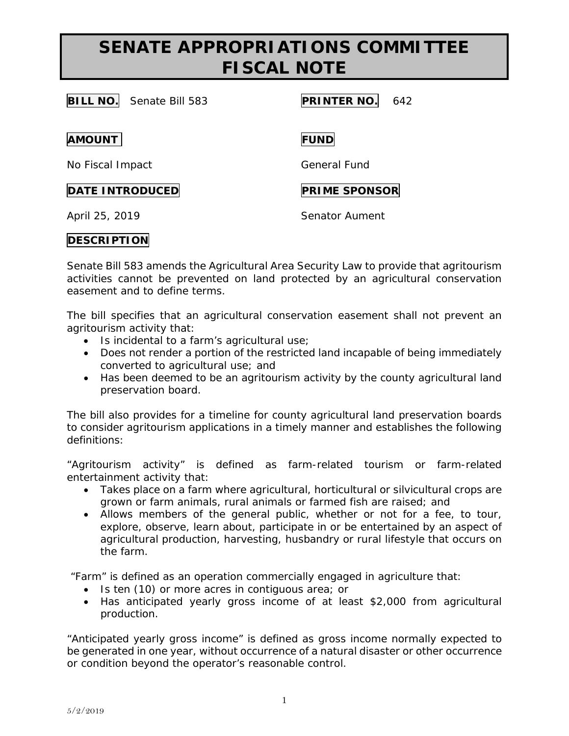## **SENATE APPROPRIATIONS COMMITTEE FISCAL NOTE**

**BILL NO.** Senate Bill 583 **PRINTER NO.** 642

**AMOUNT FUND**

No Fiscal Impact General Fund

### **DATE INTRODUCED PRIME SPONSOR**

April 25, 2019 **Senator Aument** 

# **DESCRIPTION**

Senate Bill 583 amends the Agricultural Area Security Law to provide that agritourism activities cannot be prevented on land protected by an agricultural conservation easement and to define terms.

The bill specifies that an agricultural conservation easement shall not prevent an agritourism activity that:

- Is incidental to a farm's agricultural use;
- Does not render a portion of the restricted land incapable of being immediately converted to agricultural use; and
- Has been deemed to be an agritourism activity by the county agricultural land preservation board.

The bill also provides for a timeline for county agricultural land preservation boards to consider agritourism applications in a timely manner and establishes the following definitions:

"Agritourism activity" is defined as farm-related tourism or farm-related entertainment activity that:

- Takes place on a farm where agricultural, horticultural or silvicultural crops are grown or farm animals, rural animals or farmed fish are raised; and
- Allows members of the general public, whether or not for a fee, to tour, explore, observe, learn about, participate in or be entertained by an aspect of agricultural production, harvesting, husbandry or rural lifestyle that occurs on the farm.

"Farm" is defined as an operation commercially engaged in agriculture that:

- Is ten (10) or more acres in contiguous area; or
- Has anticipated yearly gross income of at least \$2,000 from agricultural production.

"Anticipated yearly gross income" is defined as gross income normally expected to be generated in one year, without occurrence of a natural disaster or other occurrence or condition beyond the operator's reasonable control.